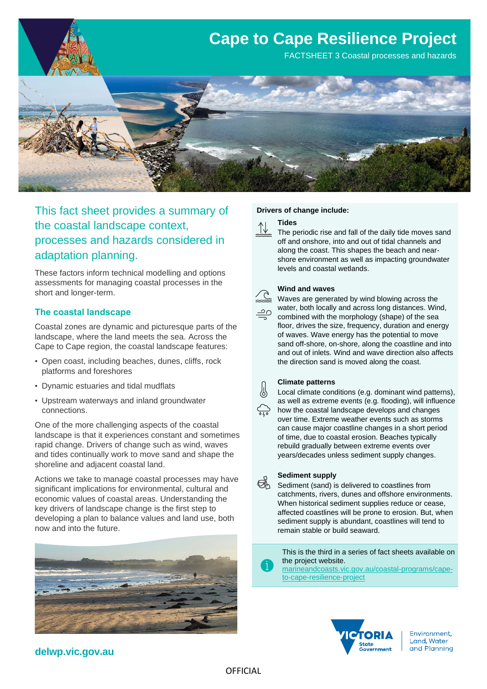

This fact sheet provides a summary of the coastal landscape context, processes and hazards considered in adaptation planning.

These factors inform technical modelling and options assessments for managing coastal processes in the short and longer-term.

#### **The coastal landscape**

Coastal zones are dynamic and picturesque parts of the landscape, where the land meets the sea. Across the Cape to Cape region, the coastal landscape features:

- Open coast, including beaches, dunes, cliffs, rock platforms and foreshores
- Dynamic estuaries and tidal mudflats
- Upstream waterways and inland groundwater connections.

One of the more challenging aspects of the coastal landscape is that it experiences constant and sometimes rapid change. Drivers of change such as wind, waves and tides continually work to move sand and shape the shoreline and adjacent coastal land.

Actions we take to manage coastal processes may have significant implications for environmental, cultural and economic values of coastal areas. Understanding the key drivers of landscape change is the first step to developing a plan to balance values and land use, both now and into the future.



#### **Drivers of change include:**

#### **Tides**

The periodic rise and fall of the daily tide moves sand off and onshore, into and out of tidal channels and along the coast. This shapes the beach and nearshore environment as well as impacting groundwater levels and coastal wetlands.

#### **Wind and waves**

Waves are generated by wind blowing across the water, both locally and across long distances. Wind, combined with the morphology (shape) of the sea floor, drives the size, frequency, duration and energy of waves. Wave energy has the potential to move sand off-shore, on-shore, along the coastline and into and out of inlets. Wind and wave direction also affects the direction sand is moved along the coast.

#### **Climate patterns**

Local climate conditions (e.g. dominant wind patterns), as well as extreme events (e.g. flooding), will influence how the coastal landscape develops and changes over time. Extreme weather events such as storms can cause major coastline changes in a short period of time, due to coastal erosion. Beaches typically rebuild gradually between extreme events over years/decades unless sediment supply changes.

#### **Sediment supply**

ØÅ. Sediment (sand) is delivered to coastlines from catchments, rivers, dunes and offshore environments. When historical sediment supplies reduce or cease, affected coastlines will be prone to erosion. But, when sediment supply is abundant, coastlines will tend to remain stable or build seaward.

> This is the third in a series of fact sheets available on the project website.

[marineandcoasts.vic.gov.au/coastal-programs/cape](https://www.marineandcoasts.vic.gov.au/coastal-programs/cape-to-cape-resilience-project)[to-cape-resilience-project](https://www.marineandcoasts.vic.gov.au/coastal-programs/cape-to-cape-resilience-project)



Environment, Land, Water and Planning

## **delwp.vic.gov.au**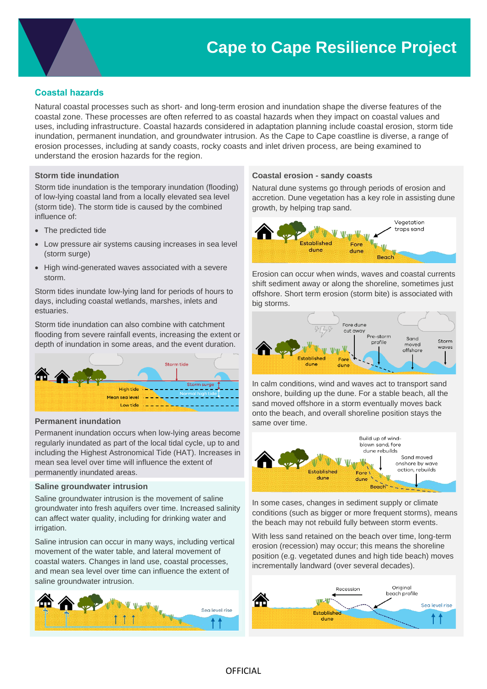### **Coastal hazards**

Natural coastal processes such as short- and long-term erosion and inundation shape the diverse features of the coastal zone. These processes are often referred to as coastal hazards when they impact on coastal values and uses, including infrastructure. Coastal hazards considered in adaptation planning include coastal erosion, storm tide inundation, permanent inundation, and groundwater intrusion. As the Cape to Cape coastline is diverse, a range of erosion processes, including at sandy coasts, rocky coasts and inlet driven process, are being examined to understand the erosion hazards for the region.

#### **Storm tide inundation**

Storm tide inundation is the temporary inundation (flooding) of low-lying coastal land from a locally elevated sea level (storm tide). The storm tide is caused by the combined influence of:

- The predicted tide
- Low pressure air systems causing increases in sea level (storm surge)
- High wind-generated waves associated with a severe storm.

Storm tides inundate low-lying land for periods of hours to days, including coastal wetlands, marshes, inlets and estuaries.

Storm tide inundation can also combine with catchment flooding from severe rainfall events, increasing the extent or depth of inundation in some areas, and the event duration.



#### **Permanent inundation**

Permanent inundation occurs when low-lying areas become regularly inundated as part of the local tidal cycle, up to and including the Highest Astronomical Tide (HAT). Increases in mean sea level over time will influence the extent of permanently inundated areas.

#### **Saline groundwater intrusion**

Saline groundwater intrusion is the movement of saline groundwater into fresh aquifers over time. Increased salinity can affect water quality, including for drinking water and irrigation.

Saline intrusion can occur in many ways, including vertical movement of the water table, and lateral movement of coastal waters. Changes in land use, coastal processes, and mean sea level over time can influence the extent of saline groundwater intrusion.



#### **Coastal erosion - sandy coasts**

Natural dune systems go through periods of erosion and accretion. Dune vegetation has a key role in assisting dune growth, by helping trap sand.



Erosion can occur when winds, waves and coastal currents shift sediment away or along the shoreline, sometimes just offshore. Short term erosion (storm bite) is associated with big storms.



In calm conditions, wind and waves act to transport sand onshore, building up the dune. For a stable beach, all the sand moved offshore in a storm eventually moves back onto the beach, and overall shoreline position stays the same over time.



In some cases, changes in sediment supply or climate conditions (such as bigger or more frequent storms), means the beach may not rebuild fully between storm events.

With less sand retained on the beach over time, long-term erosion (recession) may occur; this means the shoreline position (e.g. vegetated dunes and high tide beach) moves incrementally landward (over several decades).

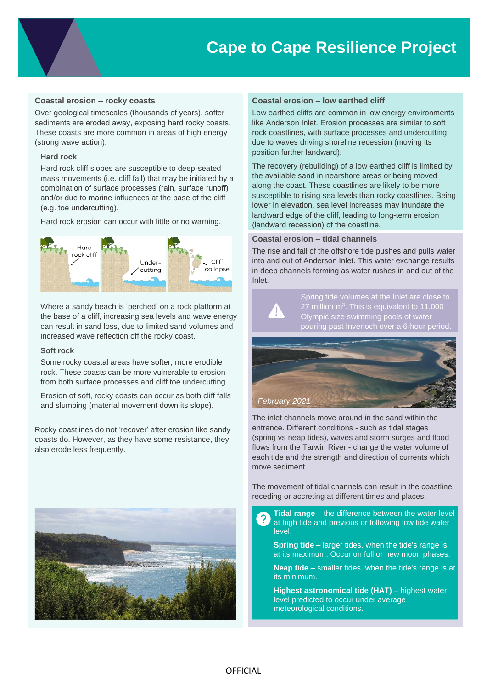#### **Coastal erosion – rocky coasts**

Over geological timescales (thousands of years), softer sediments are eroded away, exposing hard rocky coasts. These coasts are more common in areas of high energy (strong wave action).

#### **Hard rock**

Hard rock cliff slopes are susceptible to deep-seated mass movements (i.e. cliff fall) that may be initiated by a combination of surface processes (rain, surface runoff) and/or due to marine influences at the base of the cliff (e.g. toe undercutting).

Hard rock erosion can occur with little or no warning.



Where a sandy beach is 'perched' on a rock platform at the base of a cliff, increasing sea levels and wave energy can result in sand loss, due to limited sand volumes and increased wave reflection off the rocky coast.

#### **Soft rock**

Some rocky coastal areas have softer, more erodible rock. These coasts can be more vulnerable to erosion from both surface processes and cliff toe undercutting.

Erosion of soft, rocky coasts can occur as both cliff falls and slumping (material movement down its slope).

Rocky coastlines do not 'recover' after erosion like sandy coasts do. However, as they have some resistance, they also erode less frequently.



#### **Coastal erosion – low earthed cliff**

Low earthed cliffs are common in low energy environments like Anderson Inlet. Erosion processes are similar to soft rock coastlines, with surface processes and undercutting due to waves driving shoreline recession (moving its position further landward).

The recovery (rebuilding) of a low earthed cliff is limited by the available sand in nearshore areas or being moved along the coast. These coastlines are likely to be more susceptible to rising sea levels than rocky coastlines. Being lower in elevation, sea level increases may inundate the landward edge of the cliff, leading to long-term erosion (landward recession) of the coastline.

#### **Coastal erosion – tidal channels**

The rise and fall of the offshore tide pushes and pulls water into and out of Anderson Inlet. This water exchange results in deep channels forming as water rushes in and out of the Inlet.



Spring tide volumes at the Inlet are close to 27 million  $m^3$ . This is equivalent to 11,000 Olympic size swimming pools of water pouring past Inverloch over a 6-hour period.



The inlet channels move around in the sand within the entrance. Different conditions - such as tidal stages (spring vs neap tides), waves and storm surges and flood flows from the Tarwin River - change the water volume of each tide and the strength and direction of currents which move sediment.

The movement of tidal channels can result in the coastline receding or accreting at different times and places.

**Tidal range** – the difference between the water level ?. at high tide and previous or following low tide water level.

**Spring tide** – larger tides, when the tide's range is at its maximum. Occur on full or new moon phases.

**Neap tide** – smaller tides, when the tide's range is at its minimum.

**Highest astronomical tide (HAT)** – highest water level predicted to occur under average meteorological conditions.